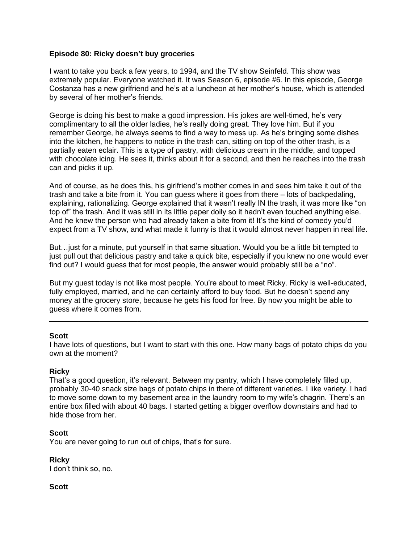## **Episode 80: Ricky doesn't buy groceries**

I want to take you back a few years, to 1994, and the TV show Seinfeld. This show was extremely popular. Everyone watched it. It was Season 6, episode #6. In this episode, George Costanza has a new girlfriend and he's at a luncheon at her mother's house, which is attended by several of her mother's friends.

George is doing his best to make a good impression. His jokes are well-timed, he's very complimentary to all the older ladies, he's really doing great. They love him. But if you remember George, he always seems to find a way to mess up. As he's bringing some dishes into the kitchen, he happens to notice in the trash can, sitting on top of the other trash, is a partially eaten eclair. This is a type of pastry, with delicious cream in the middle, and topped with chocolate icing. He sees it, thinks about it for a second, and then he reaches into the trash can and picks it up.

And of course, as he does this, his girlfriend's mother comes in and sees him take it out of the trash and take a bite from it. You can guess where it goes from there – lots of backpedaling, explaining, rationalizing. George explained that it wasn't really IN the trash, it was more like "on top of" the trash. And it was still in its little paper doily so it hadn't even touched anything else. And he knew the person who had already taken a bite from it! It's the kind of comedy you'd expect from a TV show, and what made it funny is that it would almost never happen in real life.

But…just for a minute, put yourself in that same situation. Would you be a little bit tempted to just pull out that delicious pastry and take a quick bite, especially if you knew no one would ever find out? I would guess that for most people, the answer would probably still be a "no".

But my guest today is not like most people. You're about to meet Ricky. Ricky is well-educated, fully employed, married, and he can certainly afford to buy food. But he doesn't spend any money at the grocery store, because he gets his food for free. By now you might be able to guess where it comes from.

\_\_\_\_\_\_\_\_\_\_\_\_\_\_\_\_\_\_\_\_\_\_\_\_\_\_\_\_\_\_\_\_\_\_\_\_\_\_\_\_\_\_\_\_\_\_\_\_\_\_\_\_\_\_\_\_\_\_\_\_\_\_\_\_\_\_\_\_\_\_\_\_\_\_\_\_

### **Scott**

I have lots of questions, but I want to start with this one. How many bags of potato chips do you own at the moment?

### **Ricky**

That's a good question, it's relevant. Between my pantry, which I have completely filled up, probably 30-40 snack size bags of potato chips in there of different varieties. I like variety. I had to move some down to my basement area in the laundry room to my wife's chagrin. There's an entire box filled with about 40 bags. I started getting a bigger overflow downstairs and had to hide those from her.

### **Scott**

You are never going to run out of chips, that's for sure.

**Ricky** I don't think so, no.

### **Scott**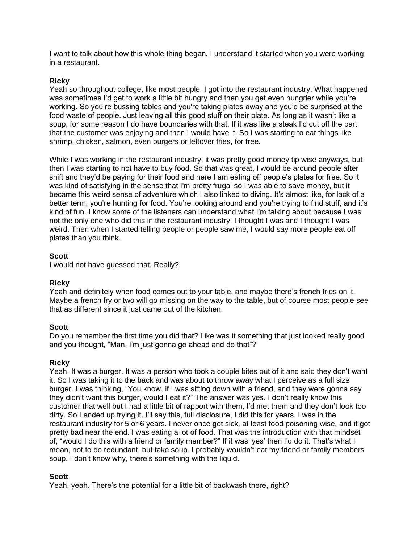I want to talk about how this whole thing began. I understand it started when you were working in a restaurant.

## **Ricky**

Yeah so throughout college, like most people, I got into the restaurant industry. What happened was sometimes I'd get to work a little bit hungry and then you get even hungrier while you're working. So you're bussing tables and you're taking plates away and you'd be surprised at the food waste of people. Just leaving all this good stuff on their plate. As long as it wasn't like a soup, for some reason I do have boundaries with that. If it was like a steak I'd cut off the part that the customer was enjoying and then I would have it. So I was starting to eat things like shrimp, chicken, salmon, even burgers or leftover fries, for free.

While I was working in the restaurant industry, it was pretty good money tip wise anyways, but then I was starting to not have to buy food. So that was great, I would be around people after shift and they'd be paying for their food and here I am eating off people's plates for free. So it was kind of satisfying in the sense that I'm pretty frugal so I was able to save money, but it became this weird sense of adventure which I also linked to diving. It's almost like, for lack of a better term, you're hunting for food. You're looking around and you're trying to find stuff, and it's kind of fun. I know some of the listeners can understand what I'm talking about because I was not the only one who did this in the restaurant industry. I thought I was and I thought I was weird. Then when I started telling people or people saw me, I would say more people eat off plates than you think.

## **Scott**

I would not have guessed that. Really?

### **Ricky**

Yeah and definitely when food comes out to your table, and maybe there's french fries on it. Maybe a french fry or two will go missing on the way to the table, but of course most people see that as different since it just came out of the kitchen.

## **Scott**

Do you remember the first time you did that? Like was it something that just looked really good and you thought, "Man, I'm just gonna go ahead and do that"?

## **Ricky**

Yeah. It was a burger. It was a person who took a couple bites out of it and said they don't want it. So I was taking it to the back and was about to throw away what I perceive as a full size burger. I was thinking, "You know, if I was sitting down with a friend, and they were gonna say they didn't want this burger, would I eat it?" The answer was yes. I don't really know this customer that well but I had a little bit of rapport with them, I'd met them and they don't look too dirty. So I ended up trying it. I'll say this, full disclosure, I did this for years. I was in the restaurant industry for 5 or 6 years. I never once got sick, at least food poisoning wise, and it got pretty bad near the end. I was eating a lot of food. That was the introduction with that mindset of, "would I do this with a friend or family member?" If it was 'yes' then I'd do it. That's what I mean, not to be redundant, but take soup. I probably wouldn't eat my friend or family members soup. I don't know why, there's something with the liquid.

## **Scott**

Yeah, yeah. There's the potential for a little bit of backwash there, right?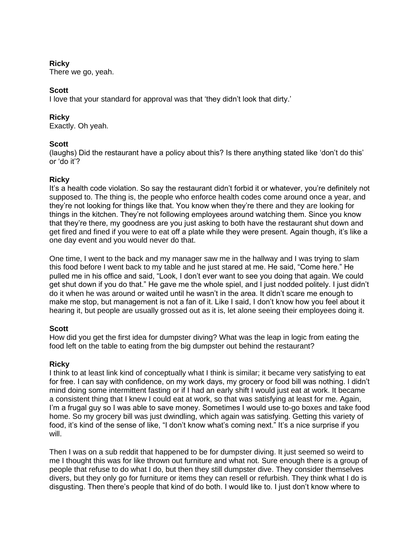## **Ricky**

There we go, yeah.

# **Scott**

I love that your standard for approval was that 'they didn't look that dirty.'

## **Ricky**

Exactly. Oh yeah.

## **Scott**

(laughs) Did the restaurant have a policy about this? Is there anything stated like 'don't do this' or 'do it'?

## **Ricky**

It's a health code violation. So say the restaurant didn't forbid it or whatever, you're definitely not supposed to. The thing is, the people who enforce health codes come around once a year, and they're not looking for things like that. You know when they're there and they are looking for things in the kitchen. They're not following employees around watching them. Since you know that they're there, my goodness are you just asking to both have the restaurant shut down and get fired and fined if you were to eat off a plate while they were present. Again though, it's like a one day event and you would never do that.

One time, I went to the back and my manager saw me in the hallway and I was trying to slam this food before I went back to my table and he just stared at me. He said, "Come here." He pulled me in his office and said, "Look, I don't ever want to see you doing that again. We could get shut down if you do that." He gave me the whole spiel, and I just nodded politely. I just didn't do it when he was around or waited until he wasn't in the area. It didn't scare me enough to make me stop, but management is not a fan of it. Like I said, I don't know how you feel about it hearing it, but people are usually grossed out as it is, let alone seeing their employees doing it.

## **Scott**

How did you get the first idea for dumpster diving? What was the leap in logic from eating the food left on the table to eating from the big dumpster out behind the restaurant?

## **Ricky**

I think to at least link kind of conceptually what I think is similar; it became very satisfying to eat for free. I can say with confidence, on my work days, my grocery or food bill was nothing. I didn't mind doing some intermittent fasting or if I had an early shift I would just eat at work. It became a consistent thing that I knew I could eat at work, so that was satisfying at least for me. Again, I'm a frugal guy so I was able to save money. Sometimes I would use to-go boxes and take food home. So my grocery bill was just dwindling, which again was satisfying. Getting this variety of food, it's kind of the sense of like, "I don't know what's coming next." It's a nice surprise if you will.

Then I was on a sub reddit that happened to be for dumpster diving. It just seemed so weird to me I thought this was for like thrown out furniture and what not. Sure enough there is a group of people that refuse to do what I do, but then they still dumpster dive. They consider themselves divers, but they only go for furniture or items they can resell or refurbish. They think what I do is disgusting. Then there's people that kind of do both. I would like to. I just don't know where to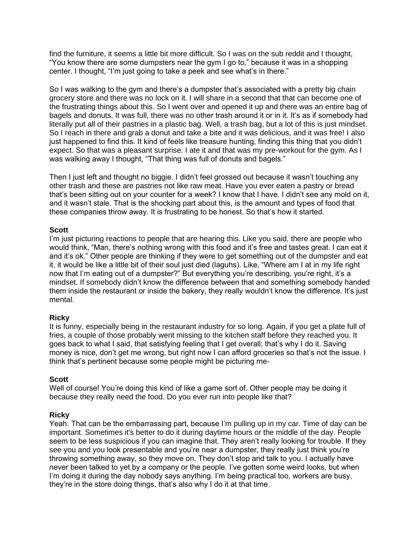find the furniture, it seems a little bit more difficult. So I was on the sub reddit and I thought, "You know there are some dumpsters near the gym I go to," because it was in a shopping center. I thought, "I'm just going to take a peek and see what's in there."

So I was walking to the gym and there's a dumpster that's associated with a pretty big chain grocery store and there was no lock on it. I will share in a second that that can become one of the frustrating things about this. So I went over and opened it up and there was an entire bag of bagels and donuts. It was full, there was no other trash around it or in it. It's as if somebody had literally put all of their pastries in a plastic bag. Well, a trash bag, but a lot of this is just mindset. So I reach in there and grab a donut and take a bite and it was delicious, and it was free! I also just happened to find this. It kind of feels like treasure hunting, finding this thing that you didn't expect. So that was a pleasant surprise. I ate it and that was my pre-workout for the gym. As I was walking away I thought, "That thing was full of donuts and bagels."

Then I just left and thought no biggie. I didn't feel grossed out because it wasn't touching any other trash and these are pastries not like raw meat. Have you ever eaten a pastry or bread that's been sitting out on your counter for a week? I know that I have. I didn't see any mold on it, and it wasn't stale. That is the shocking part about this, is the amount and types of food that these companies throw away. It is frustrating to be honest. So that's how it started.

## **Scott**

I'm just picturing reactions to people that are hearing this. Like you said, there are people who would think, "Man, there's nothing wrong with this food and it's free and tastes great. I can eat it and it's ok." Other people are thinking if they were to get something out of the dumpster and eat it, it would be like a little bit of their soul just died (laguhs). Like, "Where am I at in my life right now that I'm eating out of a dumpster?" But everything you're describing, you're right, it's a mindset. If somebody didn't know the difference between that and something somebody handed them inside the restaurant or inside the bakery, they really wouldn't know the difference. It's just mental.

### **Ricky**

It is funny, especially being in the restaurant industry for so long. Again, if you get a plate full of fries, a couple of those probably went missing to the kitchen staff before they reached you. It goes back to what I said, that satisfying feeling that I get overall; that's why I do it. Saving money is nice, don't get me wrong, but right now I can afford groceries so that's not the issue. I think that's pertinent because some people might be picturing me-

### **Scott**

Well of course! You're doing this kind of like a game sort of. Other people may be doing it because they really need the food. Do you ever run into people like that?

### **Ricky**

Yeah. That can be the embarrassing part, because I'm pulling up in my car. Time of day can be important. Sometimes it's better to do it during daytime hours or the middle of the day. People seem to be less suspicious if you can imagine that. They aren't really looking for trouble. If they see you and you look presentable and you're near a dumpster, they really just think you're throwing something away, so they move on. They don't stop and talk to you. I actually have never been talked to yet by a company or the people. I've gotten some weird looks, but when I'm doing it during the day nobody says anything. I'm being practical too, workers are busy, they're in the store doing things, that's also why I do it at that time.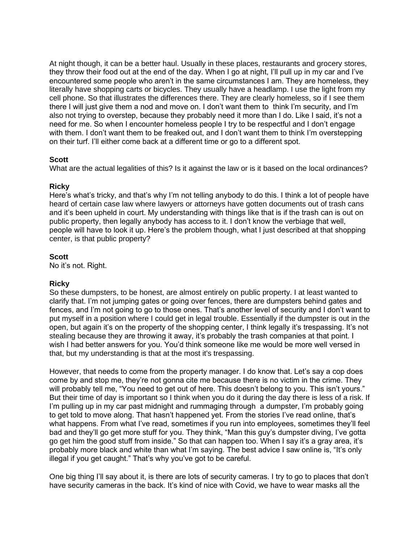At night though, it can be a better haul. Usually in these places, restaurants and grocery stores, they throw their food out at the end of the day. When I go at night, I'll pull up in my car and I've encountered some people who aren't in the same circumstances I am. They are homeless, they literally have shopping carts or bicycles. They usually have a headlamp. I use the light from my cell phone. So that illustrates the differences there. They are clearly homeless, so if I see them there I will just give them a nod and move on. I don't want them to think I'm security, and I'm also not trying to overstep, because they probably need it more than I do. Like I said, it's not a need for me. So when I encounter homeless people I try to be respectful and I don't engage with them. I don't want them to be freaked out, and I don't want them to think I'm overstepping on their turf. I'll either come back at a different time or go to a different spot.

## **Scott**

What are the actual legalities of this? Is it against the law or is it based on the local ordinances?

## **Ricky**

Here's what's tricky, and that's why I'm not telling anybody to do this. I think a lot of people have heard of certain case law where lawyers or attorneys have gotten documents out of trash cans and it's been upheld in court. My understanding with things like that is if the trash can is out on public property, then legally anybody has access to it. I don't know the verbiage that well, people will have to look it up. Here's the problem though, what I just described at that shopping center, is that public property?

## **Scott**

No it's not. Right.

### **Ricky**

So these dumpsters, to be honest, are almost entirely on public property. I at least wanted to clarify that. I'm not jumping gates or going over fences, there are dumpsters behind gates and fences, and I'm not going to go to those ones. That's another level of security and I don't want to put myself in a position where I could get in legal trouble. Essentially if the dumpster is out in the open, but again it's on the property of the shopping center, I think legally it's trespassing. It's not stealing because they are throwing it away, it's probably the trash companies at that point. I wish I had better answers for you. You'd think someone like me would be more well versed in that, but my understanding is that at the most it's trespassing.

However, that needs to come from the property manager. I do know that. Let's say a cop does come by and stop me, they're not gonna cite me because there is no victim in the crime. They will probably tell me, "You need to get out of here. This doesn't belong to you. This isn't yours." But their time of day is important so I think when you do it during the day there is less of a risk. If I'm pulling up in my car past midnight and rummaging through a dumpster, I'm probably going to get told to move along. That hasn't happened yet. From the stories I've read online, that's what happens. From what I've read, sometimes if you run into employees, sometimes they'll feel bad and they'll go get more stuff for you. They think, "Man this guy's dumpster diving, I've gotta go get him the good stuff from inside." So that can happen too. When I say it's a gray area, it's probably more black and white than what I'm saying. The best advice I saw online is, "It's only illegal if you get caught." That's why you've got to be careful.

One big thing I'll say about it, is there are lots of security cameras. I try to go to places that don't have security cameras in the back. It's kind of nice with Covid, we have to wear masks all the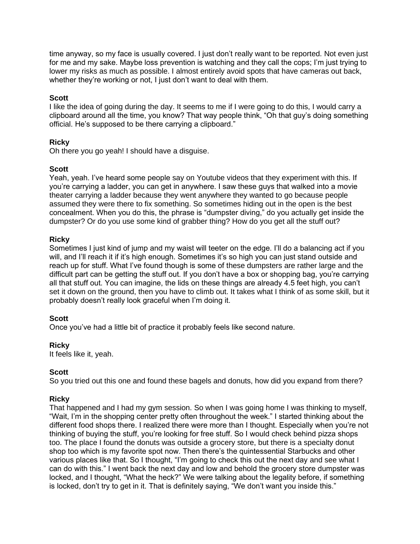time anyway, so my face is usually covered. I just don't really want to be reported. Not even just for me and my sake. Maybe loss prevention is watching and they call the cops; I'm just trying to lower my risks as much as possible. I almost entirely avoid spots that have cameras out back, whether they're working or not, I just don't want to deal with them.

## **Scott**

I like the idea of going during the day. It seems to me if I were going to do this, I would carry a clipboard around all the time, you know? That way people think, "Oh that guy's doing something official. He's supposed to be there carrying a clipboard."

## **Ricky**

Oh there you go yeah! I should have a disguise.

## **Scott**

Yeah, yeah. I've heard some people say on Youtube videos that they experiment with this. If you're carrying a ladder, you can get in anywhere. I saw these guys that walked into a movie theater carrying a ladder because they went anywhere they wanted to go because people assumed they were there to fix something. So sometimes hiding out in the open is the best concealment. When you do this, the phrase is "dumpster diving," do you actually get inside the dumpster? Or do you use some kind of grabber thing? How do you get all the stuff out?

## **Ricky**

Sometimes I just kind of jump and my waist will teeter on the edge. I'll do a balancing act if you will, and I'll reach it if it's high enough. Sometimes it's so high you can just stand outside and reach up for stuff. What I've found though is some of these dumpsters are rather large and the difficult part can be getting the stuff out. If you don't have a box or shopping bag, you're carrying all that stuff out. You can imagine, the lids on these things are already 4.5 feet high, you can't set it down on the ground, then you have to climb out. It takes what I think of as some skill, but it probably doesn't really look graceful when I'm doing it.

### **Scott**

Once you've had a little bit of practice it probably feels like second nature.

### **Ricky**

It feels like it, yeah.

### **Scott**

So you tried out this one and found these bagels and donuts, how did you expand from there?

## **Ricky**

That happened and I had my gym session. So when I was going home I was thinking to myself, "Wait, I'm in the shopping center pretty often throughout the week." I started thinking about the different food shops there. I realized there were more than I thought. Especially when you're not thinking of buying the stuff, you're looking for free stuff. So I would check behind pizza shops too. The place I found the donuts was outside a grocery store, but there is a specialty donut shop too which is my favorite spot now. Then there's the quintessential Starbucks and other various places like that. So I thought, "I'm going to check this out the next day and see what I can do with this." I went back the next day and low and behold the grocery store dumpster was locked, and I thought, "What the heck?" We were talking about the legality before, if something is locked, don't try to get in it. That is definitely saying, "We don't want you inside this."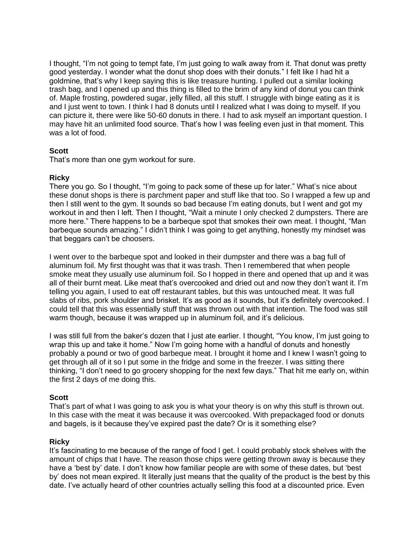I thought, "I'm not going to tempt fate, I'm just going to walk away from it. That donut was pretty good yesterday. I wonder what the donut shop does with their donuts." I felt like I had hit a goldmine, that's why I keep saying this is like treasure hunting. I pulled out a similar looking trash bag, and I opened up and this thing is filled to the brim of any kind of donut you can think of. Maple frosting, powdered sugar, jelly filled, all this stuff. I struggle with binge eating as it is and I just went to town. I think I had 8 donuts until I realized what I was doing to myself. If you can picture it, there were like 50-60 donuts in there. I had to ask myself an important question. I may have hit an unlimited food source. That's how I was feeling even just in that moment. This was a lot of food.

## **Scott**

That's more than one gym workout for sure.

## **Ricky**

There you go. So I thought, "I'm going to pack some of these up for later." What's nice about these donut shops is there is parchment paper and stuff like that too. So I wrapped a few up and then I still went to the gym. It sounds so bad because I'm eating donuts, but I went and got my workout in and then I left. Then I thought, "Wait a minute I only checked 2 dumpsters. There are more here." There happens to be a barbeque spot that smokes their own meat. I thought, "Man barbeque sounds amazing." I didn't think I was going to get anything, honestly my mindset was that beggars can't be choosers.

I went over to the barbeque spot and looked in their dumpster and there was a bag full of aluminum foil. My first thought was that it was trash. Then I remembered that when people smoke meat they usually use aluminum foil. So I hopped in there and opened that up and it was all of their burnt meat. Like meat that's overcooked and dried out and now they don't want it. I'm telling you again, I used to eat off restaurant tables, but this was untouched meat. It was full slabs of ribs, pork shoulder and brisket. It's as good as it sounds, but it's definitely overcooked. I could tell that this was essentially stuff that was thrown out with that intention. The food was still warm though, because it was wrapped up in aluminum foil, and it's delicious.

I was still full from the baker's dozen that I just ate earlier. I thought, "You know, I'm just going to wrap this up and take it home." Now I'm going home with a handful of donuts and honestly probably a pound or two of good barbeque meat. I brought it home and I knew I wasn't going to get through all of it so I put some in the fridge and some in the freezer. I was sitting there thinking, "I don't need to go grocery shopping for the next few days." That hit me early on, within the first 2 days of me doing this.

### **Scott**

That's part of what I was going to ask you is what your theory is on why this stuff is thrown out. In this case with the meat it was because it was overcooked. With prepackaged food or donuts and bagels, is it because they've expired past the date? Or is it something else?

### **Ricky**

It's fascinating to me because of the range of food I get. I could probably stock shelves with the amount of chips that I have. The reason those chips were getting thrown away is because they have a 'best by' date. I don't know how familiar people are with some of these dates, but 'best by' does not mean expired. It literally just means that the quality of the product is the best by this date. I've actually heard of other countries actually selling this food at a discounted price. Even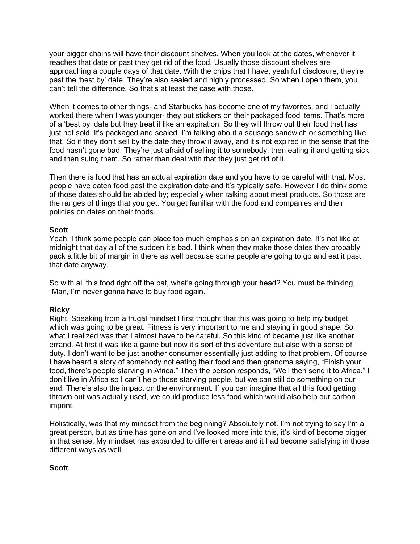your bigger chains will have their discount shelves. When you look at the dates, whenever it reaches that date or past they get rid of the food. Usually those discount shelves are approaching a couple days of that date. With the chips that I have, yeah full disclosure, they're past the 'best by' date. They're also sealed and highly processed. So when I open them, you can't tell the difference. So that's at least the case with those.

When it comes to other things- and Starbucks has become one of my favorites, and I actually worked there when I was younger- they put stickers on their packaged food items. That's more of a 'best by' date but they treat it like an expiration. So they will throw out their food that has just not sold. It's packaged and sealed. I'm talking about a sausage sandwich or something like that. So if they don't sell by the date they throw it away, and it's not expired in the sense that the food hasn't gone bad. They're just afraid of selling it to somebody, then eating it and getting sick and then suing them. So rather than deal with that they just get rid of it.

Then there is food that has an actual expiration date and you have to be careful with that. Most people have eaten food past the expiration date and it's typically safe. However I do think some of those dates should be abided by; especially when talking about meat products. So those are the ranges of things that you get. You get familiar with the food and companies and their policies on dates on their foods.

## **Scott**

Yeah. I think some people can place too much emphasis on an expiration date. It's not like at midnight that day all of the sudden it's bad. I think when they make those dates they probably pack a little bit of margin in there as well because some people are going to go and eat it past that date anyway.

So with all this food right off the bat, what's going through your head? You must be thinking, "Man, I'm never gonna have to buy food again."

## **Ricky**

Right. Speaking from a frugal mindset I first thought that this was going to help my budget, which was going to be great. Fitness is very important to me and staying in good shape. So what I realized was that I almost have to be careful. So this kind of became just like another errand. At first it was like a game but now it's sort of this adventure but also with a sense of duty. I don't want to be just another consumer essentially just adding to that problem. Of course I have heard a story of somebody not eating their food and then grandma saying, "Finish your food, there's people starving in Africa." Then the person responds, "Well then send it to Africa." I don't live in Africa so I can't help those starving people, but we can still do something on our end. There's also the impact on the environment. If you can imagine that all this food getting thrown out was actually used, we could produce less food which would also help our carbon imprint.

Holistically, was that my mindset from the beginning? Absolutely not. I'm not trying to say I'm a great person, but as time has gone on and I've looked more into this, it's kind of become bigger in that sense. My mindset has expanded to different areas and it had become satisfying in those different ways as well.

### **Scott**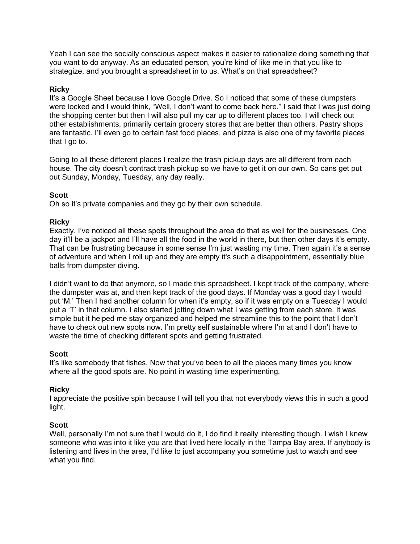Yeah I can see the socially conscious aspect makes it easier to rationalize doing something that you want to do anyway. As an educated person, you're kind of like me in that you like to strategize, and you brought a spreadsheet in to us. What's on that spreadsheet?

## **Ricky**

It's a Google Sheet because I love Google Drive. So I noticed that some of these dumpsters were locked and I would think, "Well, I don't want to come back here." I said that I was just doing the shopping center but then I will also pull my car up to different places too. I will check out other establishments, primarily certain grocery stores that are better than others. Pastry shops are fantastic. I'll even go to certain fast food places, and pizza is also one of my favorite places that I go to.

Going to all these different places I realize the trash pickup days are all different from each house. The city doesn't contract trash pickup so we have to get it on our own. So cans get put out Sunday, Monday, Tuesday, any day really.

## **Scott**

Oh so it's private companies and they go by their own schedule.

## **Ricky**

Exactly. I've noticed all these spots throughout the area do that as well for the businesses. One day it'll be a jackpot and I'll have all the food in the world in there, but then other days it's empty. That can be frustrating because in some sense I'm just wasting my time. Then again it's a sense of adventure and when I roll up and they are empty it's such a disappointment, essentially blue balls from dumpster diving.

I didn't want to do that anymore, so I made this spreadsheet. I kept track of the company, where the dumpster was at, and then kept track of the good days. If Monday was a good day I would put 'M.' Then I had another column for when it's empty, so if it was empty on a Tuesday I would put a 'T' in that column. I also started jotting down what I was getting from each store. It was simple but it helped me stay organized and helped me streamline this to the point that I don't have to check out new spots now. I'm pretty self sustainable where I'm at and I don't have to waste the time of checking different spots and getting frustrated.

### **Scott**

It's like somebody that fishes. Now that you've been to all the places many times you know where all the good spots are. No point in wasting time experimenting.

### **Ricky**

I appreciate the positive spin because I will tell you that not everybody views this in such a good light.

### **Scott**

Well, personally I'm not sure that I would do it, I do find it really interesting though. I wish I knew someone who was into it like you are that lived here locally in the Tampa Bay area. If anybody is listening and lives in the area, I'd like to just accompany you sometime just to watch and see what you find.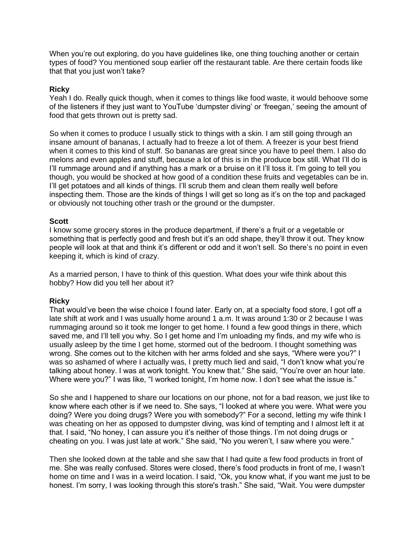When you're out exploring, do you have guidelines like, one thing touching another or certain types of food? You mentioned soup earlier off the restaurant table. Are there certain foods like that that you just won't take?

## **Ricky**

Yeah I do. Really quick though, when it comes to things like food waste, it would behoove some of the listeners if they just want to YouTube 'dumpster diving' or 'freegan,' seeing the amount of food that gets thrown out is pretty sad.

So when it comes to produce I usually stick to things with a skin. I am still going through an insane amount of bananas, I actually had to freeze a lot of them. A freezer is your best friend when it comes to this kind of stuff. So bananas are great since you have to peel them. I also do melons and even apples and stuff, because a lot of this is in the produce box still. What I'll do is I'll rummage around and if anything has a mark or a bruise on it I'll toss it. I'm going to tell you though, you would be shocked at how good of a condition these fruits and vegetables can be in. I'll get potatoes and all kinds of things. I'll scrub them and clean them really well before inspecting them. Those are the kinds of things I will get so long as it's on the top and packaged or obviously not touching other trash or the ground or the dumpster.

### **Scott**

I know some grocery stores in the produce department, if there's a fruit or a vegetable or something that is perfectly good and fresh but it's an odd shape, they'll throw it out. They know people will look at that and think it's different or odd and it won't sell. So there's no point in even keeping it, which is kind of crazy.

As a married person, I have to think of this question. What does your wife think about this hobby? How did you tell her about it?

### **Ricky**

That would've been the wise choice I found later. Early on, at a specialty food store, I got off a late shift at work and I was usually home around 1 a.m. It was around 1:30 or 2 because I was rummaging around so it took me longer to get home. I found a few good things in there, which saved me, and I'll tell you why. So I get home and I'm unloading my finds, and my wife who is usually asleep by the time I get home, stormed out of the bedroom. I thought something was wrong. She comes out to the kitchen with her arms folded and she says, "Where were you?" I was so ashamed of where I actually was, I pretty much lied and said, "I don't know what you're talking about honey. I was at work tonight. You knew that." She said, "You're over an hour late. Where were you?" I was like, "I worked tonight, I'm home now. I don't see what the issue is."

So she and I happened to share our locations on our phone, not for a bad reason, we just like to know where each other is if we need to. She says, "I looked at where you were. What were you doing? Were you doing drugs? Were you with somebody?" For a second, letting my wife think I was cheating on her as opposed to dumpster diving, was kind of tempting and I almost left it at that. I said, "No honey, I can assure you it's neither of those things. I'm not doing drugs or cheating on you. I was just late at work." She said, "No you weren't, I saw where you were."

Then she looked down at the table and she saw that I had quite a few food products in front of me. She was really confused. Stores were closed, there's food products in front of me, I wasn't home on time and I was in a weird location. I said, "Ok, you know what, if you want me just to be honest. I'm sorry, I was looking through this store's trash." She said, "Wait. You were dumpster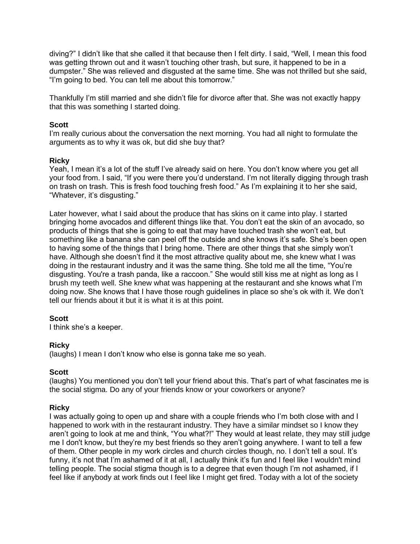diving?" I didn't like that she called it that because then I felt dirty. I said, "Well, I mean this food was getting thrown out and it wasn't touching other trash, but sure, it happened to be in a dumpster." She was relieved and disgusted at the same time. She was not thrilled but she said, "I'm going to bed. You can tell me about this tomorrow."

Thankfully I'm still married and she didn't file for divorce after that. She was not exactly happy that this was something I started doing.

### **Scott**

I'm really curious about the conversation the next morning. You had all night to formulate the arguments as to why it was ok, but did she buy that?

## **Ricky**

Yeah, I mean it's a lot of the stuff I've already said on here. You don't know where you get all your food from. I said, "If you were there you'd understand. I'm not literally digging through trash on trash on trash. This is fresh food touching fresh food." As I'm explaining it to her she said, "Whatever, it's disgusting."

Later however, what I said about the produce that has skins on it came into play. I started bringing home avocados and different things like that. You don't eat the skin of an avocado, so products of things that she is going to eat that may have touched trash she won't eat, but something like a banana she can peel off the outside and she knows it's safe. She's been open to having some of the things that I bring home. There are other things that she simply won't have. Although she doesn't find it the most attractive quality about me, she knew what I was doing in the restaurant industry and it was the same thing. She told me all the time, "You're disgusting. You're a trash panda, like a raccoon." She would still kiss me at night as long as I brush my teeth well. She knew what was happening at the restaurant and she knows what I'm doing now. She knows that I have those rough guidelines in place so she's ok with it. We don't tell our friends about it but it is what it is at this point.

### **Scott**

I think she's a keeper.

### **Ricky**

(laughs) I mean I don't know who else is gonna take me so yeah.

### **Scott**

(laughs) You mentioned you don't tell your friend about this. That's part of what fascinates me is the social stigma. Do any of your friends know or your coworkers or anyone?

### **Ricky**

I was actually going to open up and share with a couple friends who I'm both close with and I happened to work with in the restaurant industry. They have a similar mindset so I know they aren't going to look at me and think, "You what?!" They would at least relate, they may still judge me I don't know, but they're my best friends so they aren't going anywhere. I want to tell a few of them. Other people in my work circles and church circles though, no. I don't tell a soul. It's funny, it's not that I'm ashamed of it at all, I actually think it's fun and I feel like I wouldn't mind telling people. The social stigma though is to a degree that even though I'm not ashamed, if I feel like if anybody at work finds out I feel like I might get fired. Today with a lot of the society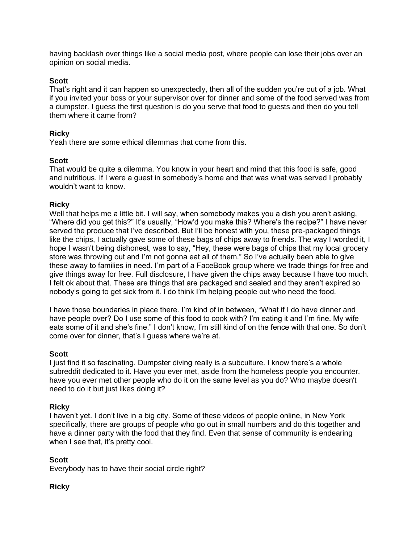having backlash over things like a social media post, where people can lose their jobs over an opinion on social media.

### **Scott**

That's right and it can happen so unexpectedly, then all of the sudden you're out of a job. What if you invited your boss or your supervisor over for dinner and some of the food served was from a dumpster. I guess the first question is do you serve that food to guests and then do you tell them where it came from?

### **Ricky**

Yeah there are some ethical dilemmas that come from this.

### **Scott**

That would be quite a dilemma. You know in your heart and mind that this food is safe, good and nutritious. If I were a guest in somebody's home and that was what was served I probably wouldn't want to know.

### **Ricky**

Well that helps me a little bit. I will say, when somebody makes you a dish you aren't asking, "Where did you get this?" It's usually, "How'd you make this? Where's the recipe?" I have never served the produce that I've described. But I'll be honest with you, these pre-packaged things like the chips, I actually gave some of these bags of chips away to friends. The way I worded it, I hope I wasn't being dishonest, was to say, "Hey, these were bags of chips that my local grocery store was throwing out and I'm not gonna eat all of them." So I've actually been able to give these away to families in need. I'm part of a FaceBook group where we trade things for free and give things away for free. Full disclosure, I have given the chips away because I have too much. I felt ok about that. These are things that are packaged and sealed and they aren't expired so nobody's going to get sick from it. I do think I'm helping people out who need the food.

I have those boundaries in place there. I'm kind of in between, "What if I do have dinner and have people over? Do I use some of this food to cook with? I'm eating it and I'm fine. My wife eats some of it and she's fine." I don't know, I'm still kind of on the fence with that one. So don't come over for dinner, that's I guess where we're at.

### **Scott**

I just find it so fascinating. Dumpster diving really is a subculture. I know there's a whole subreddit dedicated to it. Have you ever met, aside from the homeless people you encounter, have you ever met other people who do it on the same level as you do? Who maybe doesn't need to do it but just likes doing it?

### **Ricky**

I haven't yet. I don't live in a big city. Some of these videos of people online, in New York specifically, there are groups of people who go out in small numbers and do this together and have a dinner party with the food that they find. Even that sense of community is endearing when I see that, it's pretty cool.

### **Scott**

Everybody has to have their social circle right?

### **Ricky**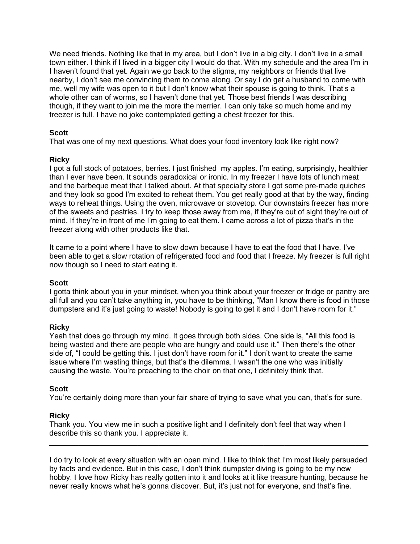We need friends. Nothing like that in my area, but I don't live in a big city. I don't live in a small town either. I think if I lived in a bigger city I would do that. With my schedule and the area I'm in I haven't found that yet. Again we go back to the stigma, my neighbors or friends that live nearby, I don't see me convincing them to come along. Or say I do get a husband to come with me, well my wife was open to it but I don't know what their spouse is going to think. That's a whole other can of worms, so I haven't done that yet. Those best friends I was describing though, if they want to join me the more the merrier. I can only take so much home and my freezer is full. I have no joke contemplated getting a chest freezer for this.

## **Scott**

That was one of my next questions. What does your food inventory look like right now?

## **Ricky**

I got a full stock of potatoes, berries. I just finished my apples. I'm eating, surprisingly, healthier than I ever have been. It sounds paradoxical or ironic. In my freezer I have lots of lunch meat and the barbeque meat that I talked about. At that specialty store I got some pre-made quiches and they look so good I'm excited to reheat them. You get really good at that by the way, finding ways to reheat things. Using the oven, microwave or stovetop. Our downstairs freezer has more of the sweets and pastries. I try to keep those away from me, if they're out of sight they're out of mind. If they're in front of me I'm going to eat them. I came across a lot of pizza that's in the freezer along with other products like that.

It came to a point where I have to slow down because I have to eat the food that I have. I've been able to get a slow rotation of refrigerated food and food that I freeze. My freezer is full right now though so I need to start eating it.

### **Scott**

I gotta think about you in your mindset, when you think about your freezer or fridge or pantry are all full and you can't take anything in, you have to be thinking, "Man I know there is food in those dumpsters and it's just going to waste! Nobody is going to get it and I don't have room for it."

## **Ricky**

Yeah that does go through my mind. It goes through both sides. One side is, "All this food is being wasted and there are people who are hungry and could use it." Then there's the other side of, "I could be getting this. I just don't have room for it." I don't want to create the same issue where I'm wasting things, but that's the dilemma. I wasn't the one who was initially causing the waste. You're preaching to the choir on that one, I definitely think that.

### **Scott**

You're certainly doing more than your fair share of trying to save what you can, that's for sure.

## **Ricky**

Thank you. You view me in such a positive light and I definitely don't feel that way when I describe this so thank you. I appreciate it.

I do try to look at every situation with an open mind. I like to think that I'm most likely persuaded by facts and evidence. But in this case, I don't think dumpster diving is going to be my new hobby. I love how Ricky has really gotten into it and looks at it like treasure hunting, because he never really knows what he's gonna discover. But, it's just not for everyone, and that's fine.

\_\_\_\_\_\_\_\_\_\_\_\_\_\_\_\_\_\_\_\_\_\_\_\_\_\_\_\_\_\_\_\_\_\_\_\_\_\_\_\_\_\_\_\_\_\_\_\_\_\_\_\_\_\_\_\_\_\_\_\_\_\_\_\_\_\_\_\_\_\_\_\_\_\_\_\_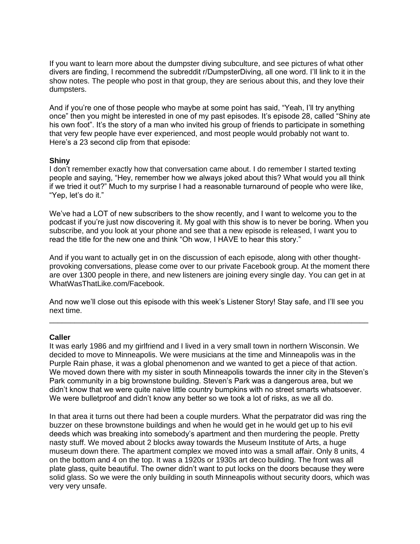If you want to learn more about the dumpster diving subculture, and see pictures of what other divers are finding, I recommend the subreddit r/DumpsterDiving, all one word. I'll link to it in the show notes. The people who post in that group, they are serious about this, and they love their dumpsters.

And if you're one of those people who maybe at some point has said, "Yeah, I'll try anything once" then you might be interested in one of my past episodes. It's episode 28, called "Shiny ate his own foot". It's the story of a man who invited his group of friends to participate in something that very few people have ever experienced, and most people would probably not want to. Here's a 23 second clip from that episode:

### **Shiny**

I don't remember exactly how that conversation came about. I do remember I started texting people and saying, "Hey, remember how we always joked about this? What would you all think if we tried it out?" Much to my surprise I had a reasonable turnaround of people who were like, "Yep, let's do it."

We've had a LOT of new subscribers to the show recently, and I want to welcome you to the podcast if you're just now discovering it. My goal with this show is to never be boring. When you subscribe, and you look at your phone and see that a new episode is released, I want you to read the title for the new one and think "Oh wow, I HAVE to hear this story."

And if you want to actually get in on the discussion of each episode, along with other thoughtprovoking conversations, please come over to our private Facebook group. At the moment there are over 1300 people in there, and new listeners are joining every single day. You can get in at WhatWasThatLike.com/Facebook.

And now we'll close out this episode with this week's Listener Story! Stay safe, and I'll see you next time.

\_\_\_\_\_\_\_\_\_\_\_\_\_\_\_\_\_\_\_\_\_\_\_\_\_\_\_\_\_\_\_\_\_\_\_\_\_\_\_\_\_\_\_\_\_\_\_\_\_\_\_\_\_\_\_\_\_\_\_\_\_\_\_\_\_\_\_\_\_\_\_\_\_\_\_\_

#### **Caller**

It was early 1986 and my girlfriend and I lived in a very small town in northern Wisconsin. We decided to move to Minneapolis. We were musicians at the time and Minneapolis was in the Purple Rain phase, it was a global phenomenon and we wanted to get a piece of that action. We moved down there with my sister in south Minneapolis towards the inner city in the Steven's Park community in a big brownstone building. Steven's Park was a dangerous area, but we didn't know that we were quite naive little country bumpkins with no street smarts whatsoever. We were bulletproof and didn't know any better so we took a lot of risks, as we all do.

In that area it turns out there had been a couple murders. What the perpatrator did was ring the buzzer on these brownstone buildings and when he would get in he would get up to his evil deeds which was breaking into somebody's apartment and then murdering the people. Pretty nasty stuff. We moved about 2 blocks away towards the Museum Institute of Arts, a huge museum down there. The apartment complex we moved into was a small affair. Only 8 units, 4 on the bottom and 4 on the top. It was a 1920s or 1930s art deco building. The front was all plate glass, quite beautiful. The owner didn't want to put locks on the doors because they were solid glass. So we were the only building in south Minneapolis without security doors, which was very very unsafe.